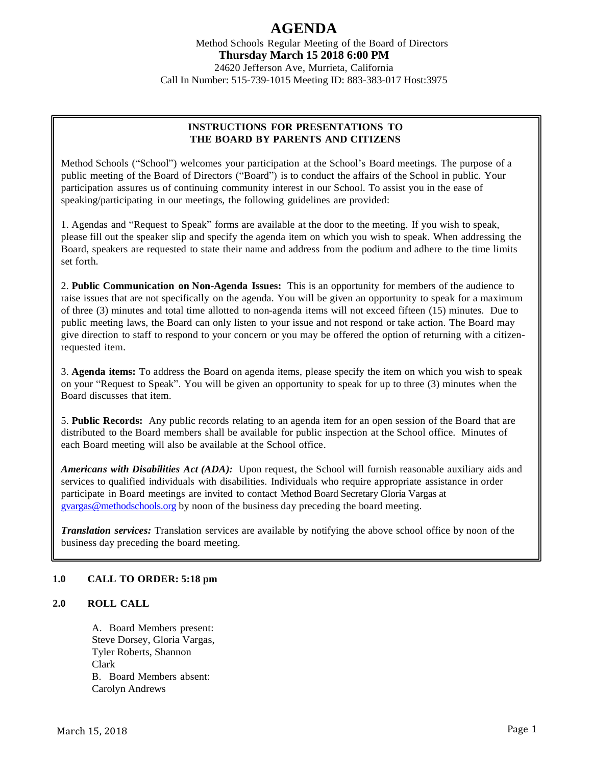Method Schools Regular Meeting of the Board of Directors **Thursday March 15 2018 6:00 PM**

24620 Jefferson Ave, Murrieta, California Call In Number: 515-739-1015 Meeting ID: 883-383-017 Host:3975

# **INSTRUCTIONS FOR PRESENTATIONS TO THE BOARD BY PARENTS AND CITIZENS**

Method Schools ("School") welcomes your participation at the School's Board meetings. The purpose of a public meeting of the Board of Directors ("Board") is to conduct the affairs of the School in public. Your participation assures us of continuing community interest in our School. To assist you in the ease of speaking/participating in our meetings, the following guidelines are provided:

1. Agendas and "Request to Speak" forms are available at the door to the meeting. If you wish to speak, please fill out the speaker slip and specify the agenda item on which you wish to speak. When addressing the Board, speakers are requested to state their name and address from the podium and adhere to the time limits set forth.

2. **Public Communication on Non-Agenda Issues:** This is an opportunity for members of the audience to raise issues that are not specifically on the agenda. You will be given an opportunity to speak for a maximum of three (3) minutes and total time allotted to non-agenda items will not exceed fifteen (15) minutes. Due to public meeting laws, the Board can only listen to your issue and not respond or take action. The Board may give direction to staff to respond to your concern or you may be offered the option of returning with a citizenrequested item.

3. **Agenda items:** To address the Board on agenda items, please specify the item on which you wish to speak on your "Request to Speak". You will be given an opportunity to speak for up to three (3) minutes when the Board discusses that item.

5. **Public Records:** Any public records relating to an agenda item for an open session of the Board that are distributed to the Board members shall be available for public inspection at the School office. Minutes of each Board meeting will also be available at the School office.

*Americans with Disabilities Act (ADA):* Upon request, the School will furnish reasonable auxiliary aids and services to qualified individuals with disabilities. Individuals who require appropriate assistance in order participate in Board meetings are invited to contact Method Board Secretary Gloria Vargas at [gvargas@methodschools.org](mailto:gvargas@methodschools.org) by noon of the business day preceding the board meeting.

*Translation services:* Translation services are available by notifying the above school office by noon of the business day preceding the board meeting.

## **1.0 CALL TO ORDER: 5:18 pm**

# **2.0 ROLL CALL**

A. Board Members present: Steve Dorsey, Gloria Vargas, Tyler Roberts, Shannon Clark B. Board Members absent: Carolyn Andrews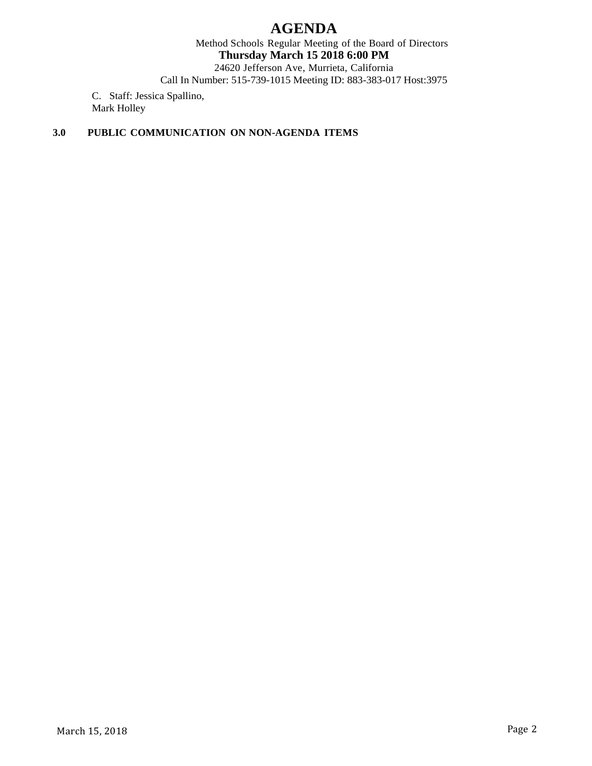Method Schools Regular Meeting of the Board of Directors **Thursday March 15 2018 6:00 PM**

24620 Jefferson Ave, Murrieta, California Call In Number: 515-739-1015 Meeting ID: 883-383-017 Host:3975

C. Staff: Jessica Spallino, Mark Holley

# **3.0 PUBLIC COMMUNICATION ON NON-AGENDA ITEMS**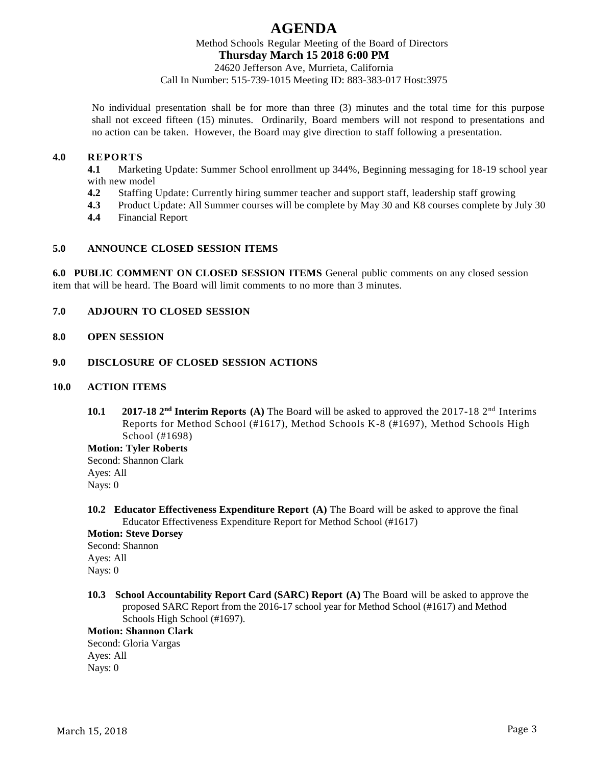Method Schools Regular Meeting of the Board of Directors **Thursday March 15 2018 6:00 PM**

24620 Jefferson Ave, Murrieta, California Call In Number: 515-739-1015 Meeting ID: 883-383-017 Host:3975

No individual presentation shall be for more than three (3) minutes and the total time for this purpose shall not exceed fifteen (15) minutes. Ordinarily, Board members will not respond to presentations and no action can be taken. However, the Board may give direction to staff following a presentation.

## **4.0 REPORTS**

**4.1** Marketing Update: Summer School enrollment up 344%, Beginning messaging for 18-19 school year with new model

- **4.2** Staffing Update: Currently hiring summer teacher and support staff, leadership staff growing
- **4.3** Product Update: All Summer courses will be complete by May 30 and K8 courses complete by July 30
- **4.4** Financial Report

#### **5.0 ANNOUNCE CLOSED SESSION ITEMS**

**6.0 PUBLIC COMMENT ON CLOSED SESSION ITEMS** General public comments on any closed session item that will be heard. The Board will limit comments to no more than 3 minutes.

## **7.0 ADJOURN TO CLOSED SESSION**

**8.0 OPEN SESSION**

#### **9.0 DISCLOSURE OF CLOSED SESSION ACTIONS**

#### **10.0 ACTION ITEMS**

**10.1** 2017-18 2<sup>nd</sup> Interim Reports (A) The Board will be asked to approved the 2017-18 2<sup>nd</sup> Interims Reports for Method School (#1617), Method Schools K-8 (#1697), Method Schools High School (#1698)

**Motion: Tyler Roberts**  Second: Shannon Clark Ayes: All Nays: 0

**10.2 Educator Effectiveness Expenditure Report (A)** The Board will be asked to approve the final Educator Effectiveness Expenditure Report for Method School (#1617)

## **Motion: Steve Dorsey**

Second: Shannon Ayes: All Nays: 0

**10.3 School Accountability Report Card (SARC) Report (A)** The Board will be asked to approve the proposed SARC Report from the 2016-17 school year for Method School (#1617) and Method Schools High School (#1697).

**Motion: Shannon Clark**

Second: Gloria Vargas Ayes: All Nays: 0